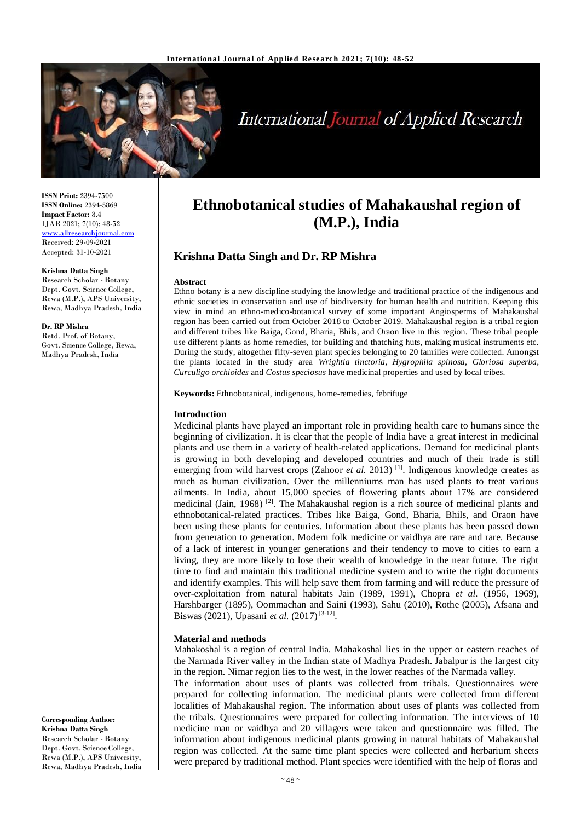

# **International Journal of Applied Research**

**ISSN Print:** 2394-7500 **ISSN Online:** 2394-5869 **Impact Factor:** 8.4 IJAR 2021; 7(10): 48-52 [www.allresearchjournal.com](http://www.allresearchjournal.com/) Received: 29-09-2021 Accepted: 31-10-2021

#### **Krishna Datta Singh**

Research Scholar - Botany Dept. Govt. Science College, Rewa (M.P.), APS University, Rewa, Madhya Pradesh, India

**Dr. RP Mishra** Retd. Prof. of Botany, Govt. Science College, Rewa, Madhya Pradesh, India

**Corresponding Author: Krishna Datta Singh** Research Scholar - Botany Dept. Govt. Science College, Rewa (M.P.), APS University, Rewa, Madhya Pradesh, India

# **Ethnobotanical studies of Mahakaushal region of (M.P.), India**

# **Krishna Datta Singh and Dr. RP Mishra**

#### **Abstract**

Ethno botany is a new discipline studying the knowledge and traditional practice of the indigenous and ethnic societies in conservation and use of biodiversity for human health and nutrition. Keeping this view in mind an ethno-medico-botanical survey of some important Angiosperms of Mahakaushal region has been carried out from October 2018 to October 2019. Mahakaushal region is a tribal region and different tribes like Baiga, Gond, Bharia, Bhils, and Oraon live in this region. These tribal people use different plants as home remedies, for building and thatching huts, making musical instruments etc. During the study, altogether fifty-seven plant species belonging to 20 families were collected. Amongst the plants located in the study area *Wrightia tinctoria, Hygrophila spinosa, Gloriosa superba, Curculigo orchioides* and *Costus speciosus* have medicinal properties and used by local tribes.

**Keywords:** Ethnobotanical, indigenous, home-remedies, febrifuge

#### **Introduction**

Medicinal plants have played an important role in providing health care to humans since the beginning of civilization. It is clear that the people of India have a great interest in medicinal plants and use them in a variety of health-related applications. Demand for medicinal plants is growing in both developing and developed countries and much of their trade is still emerging from wild harvest crops (Zahoor *et al.* 2013)<sup>[1]</sup>. Indigenous knowledge creates as much as human civilization. Over the millenniums man has used plants to treat various ailments. In India, about 15,000 species of flowering plants about 17% are considered medicinal (Jain, 1968)<sup>[2]</sup>. The Mahakaushal region is a rich source of medicinal plants and ethnobotanical-related practices. Tribes like Baiga, Gond, Bharia, Bhils, and Oraon have been using these plants for centuries. Information about these plants has been passed down from generation to generation. Modern folk medicine or vaidhya are rare and rare. Because of a lack of interest in younger generations and their tendency to move to cities to earn a living, they are more likely to lose their wealth of knowledge in the near future. The right time to find and maintain this traditional medicine system and to write the right documents and identify examples. This will help save them from farming and will reduce the pressure of over-exploitation from natural habitats Jain (1989, 1991), Chopra *et al.* (1956, 1969), Harshbarger (1895), Oommachan and Saini (1993), Sahu (2010), Rothe (2005), Afsana and Biswas (2021), Upasani *et al.* (2017)<sup>[3-12]</sup>.

#### **Material and methods**

Mahakoshal is a region of central India. Mahakoshal lies in the upper or eastern reaches of the Narmada River valley in the Indian state of Madhya Pradesh. Jabalpur is the largest city in the region. Nimar region lies to the west, in the lower reaches of the Narmada valley.

The information about uses of plants was collected from tribals. Questionnaires were prepared for collecting information. The medicinal plants were collected from different localities of Mahakaushal region. The information about uses of plants was collected from the tribals. Questionnaires were prepared for collecting information. The interviews of 10 medicine man or vaidhya and 20 villagers were taken and questionnaire was filled. The information about indigenous medicinal plants growing in natural habitats of Mahakaushal region was collected. At the same time plant species were collected and herbarium sheets were prepared by traditional method. Plant species were identified with the help of floras and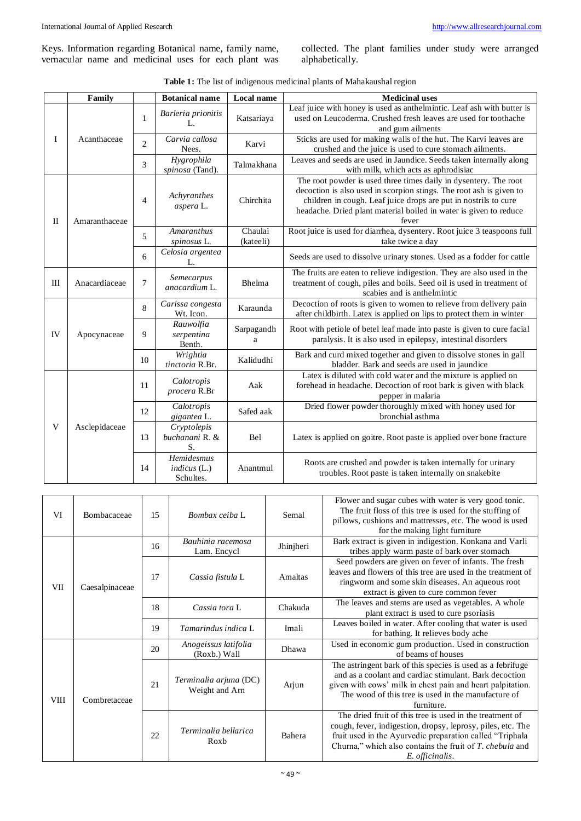vernacular name and medicinal uses for each plant was

collected. The plant families under study were arranged alphabetically.

| Table 1: The list of indigenous medicinal plants of Mahakaushal region |  |
|------------------------------------------------------------------------|--|
|------------------------------------------------------------------------|--|

|              | Family        |                | <b>Botanical name</b>                  | Local name           | <b>Medicinal uses</b>                                                                                                                                                                                                                                                                    |
|--------------|---------------|----------------|----------------------------------------|----------------------|------------------------------------------------------------------------------------------------------------------------------------------------------------------------------------------------------------------------------------------------------------------------------------------|
| I            | Acanthaceae   | 1              | Barleria prionitis<br>L.               | Katsariaya           | Leaf juice with honey is used as anthelmintic. Leaf ash with butter is<br>used on Leucoderma. Crushed fresh leaves are used for toothache<br>and gum ailments                                                                                                                            |
|              |               | $\overline{2}$ | Carvia callosa<br>Nees.                | Karvi                | Sticks are used for making walls of the hut. The Karvi leaves are<br>crushed and the juice is used to cure stomach ailments.                                                                                                                                                             |
|              |               | 3              | Hygrophila<br>spinosa (Tand).          | Talmakhana           | Leaves and seeds are used in Jaundice. Seeds taken internally along<br>with milk, which acts as aphrodisiac                                                                                                                                                                              |
| $\mathbf{I}$ | Amaranthaceae | $\overline{4}$ | Achyranthes<br>aspera L.               | Chirchita            | The root powder is used three times daily in dysentery. The root<br>decoction is also used in scorpion stings. The root ash is given to<br>children in cough. Leaf juice drops are put in nostrils to cure<br>headache. Dried plant material boiled in water is given to reduce<br>fever |
|              |               | 5              | <b>Amaranthus</b><br>spinosus L.       | Chaulai<br>(kateeli) | Root juice is used for diarrhea, dysentery. Root juice 3 teaspoons full<br>take twice a day                                                                                                                                                                                              |
|              |               | 6              | Celosia argentea<br>L.                 |                      | Seeds are used to dissolve urinary stones. Used as a fodder for cattle                                                                                                                                                                                                                   |
| $\mathbf{I}$ | Anacardiaceae | 7              | Semecarpus<br>anacardium L.            | Bhelma               | The fruits are eaten to relieve indigestion. They are also used in the<br>treatment of cough, piles and boils. Seed oil is used in treatment of<br>scabies and is anthelmintic                                                                                                           |
|              | Apocynaceae   | 8              | Carissa congesta<br>Wt. Icon.          | Karaunda             | Decoction of roots is given to women to relieve from delivery pain<br>after childbirth. Latex is applied on lips to protect them in winter                                                                                                                                               |
| IV           |               | 9              | Rauwolfia<br>serpentina<br>Benth.      | Sarpagandh<br>a      | Root with petiole of betel leaf made into paste is given to cure facial<br>paralysis. It is also used in epilepsy, intestinal disorders                                                                                                                                                  |
|              |               | 10             | Wrightia<br>tinctoria R.Br.            | Kalidudhi            | Bark and curd mixed together and given to dissolve stones in gall<br>bladder. Bark and seeds are used in jaundice                                                                                                                                                                        |
| V            | Asclepidaceae | 11             | Calotropis<br>procera R.Br             | Aak                  | Latex is diluted with cold water and the mixture is applied on<br>forehead in headache. Decoction of root bark is given with black<br>pepper in malaria                                                                                                                                  |
|              |               | 12             | Calotropis<br>gigantea L.              | Safed aak            | Dried flower powder thoroughly mixed with honey used for<br>bronchial asthma                                                                                                                                                                                                             |
|              |               | 13             | Cryptolepis<br>buchanani R. &<br>S.    | Bel                  | Latex is applied on goitre. Root paste is applied over bone fracture                                                                                                                                                                                                                     |
|              |               | 14             | Hemidesmus<br>indicus(L.)<br>Schultes. | Anantmul             | Roots are crushed and powder is taken internally for urinary<br>troubles. Root paste is taken internally on snakebite                                                                                                                                                                    |

| VI          | Bombacaceae    | 15 | Bombax ceiba L                           | Semal     | Flower and sugar cubes with water is very good tonic.<br>The fruit floss of this tree is used for the stuffing of<br>pillows, cushions and mattresses, etc. The wood is used<br>for the making light furniture                                                     |
|-------------|----------------|----|------------------------------------------|-----------|--------------------------------------------------------------------------------------------------------------------------------------------------------------------------------------------------------------------------------------------------------------------|
| VII.        | Caesalpinaceae | 16 | Bauhinia racemosa<br>Lam. Encycl         | Jhinjheri | Bark extract is given in indigestion. Konkana and Varli<br>tribes apply warm paste of bark over stomach                                                                                                                                                            |
|             |                | 17 | Cassia fistula L                         | Amaltas   | Seed powders are given on fever of infants. The fresh<br>leaves and flowers of this tree are used in the treatment of<br>ringworm and some skin diseases. An aqueous root<br>extract is given to cure common fever                                                 |
|             |                | 18 | Cassia tora L                            | Chakuda   | The leaves and stems are used as vegetables. A whole<br>plant extract is used to cure psoriasis                                                                                                                                                                    |
|             |                | 19 | Tamarindus indica L                      | Imali     | Leaves boiled in water. After cooling that water is used<br>for bathing. It relieves body ache                                                                                                                                                                     |
| <b>VIII</b> | Combretaceae   | 20 | Anogeissus latifolia<br>(Roxb.) Wall     | Dhawa     | Used in economic gum production. Used in construction<br>of beams of houses                                                                                                                                                                                        |
|             |                | 21 | Terminalia arjuna (DC)<br>Weight and Arn | Arjun     | The astringent bark of this species is used as a febrifuge<br>and as a coolant and cardiac stimulant. Bark decoction<br>given with cows' milk in chest pain and heart palpitation.<br>The wood of this tree is used in the manufacture of<br>furniture.            |
|             |                | 22 | Terminalia bellarica<br>Roxb             | Bahera    | The dried fruit of this tree is used in the treatment of<br>cough, fever, indigestion, dropsy, leprosy, piles, etc. The<br>fruit used in the Ayurvedic preparation called "Triphala<br>Churna," which also contains the fruit of T. chebula and<br>E. officinalis. |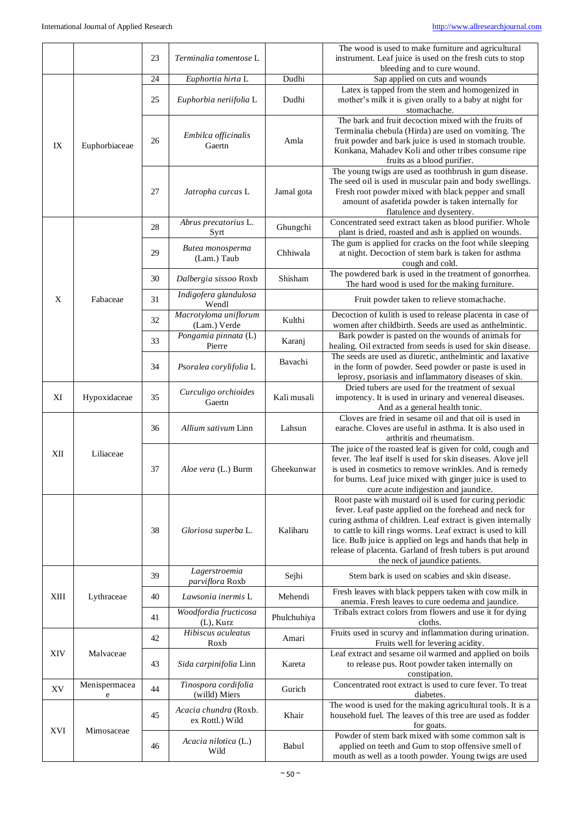|            |                    |    |                                          |             | The wood is used to make furniture and agricultural                                                                                                                                                                                                           |
|------------|--------------------|----|------------------------------------------|-------------|---------------------------------------------------------------------------------------------------------------------------------------------------------------------------------------------------------------------------------------------------------------|
|            |                    | 23 | Terminalia tomentose L                   |             | instrument. Leaf juice is used on the fresh cuts to stop                                                                                                                                                                                                      |
|            |                    |    |                                          |             | bleeding and to cure wound.                                                                                                                                                                                                                                   |
|            |                    | 24 | Euphortia hirta L                        | Dudhi       | Sap applied on cuts and wounds                                                                                                                                                                                                                                |
|            |                    | 25 | Euphorbia neriifolia L                   | Dudhi       | Latex is tapped from the stem and homogenized in<br>mother's milk it is given orally to a baby at night for                                                                                                                                                   |
|            |                    |    |                                          |             | stomachache.<br>The bark and fruit decoction mixed with the fruits of                                                                                                                                                                                         |
| IX         | Euphorbiaceae      | 26 | Embilca officinalis<br>Gaertn            | Amla        | Terminalia chebula (Hirda) are used on vomiting. The<br>fruit powder and bark juice is used in stomach trouble.                                                                                                                                               |
|            |                    |    |                                          |             | Konkana, Mahadev Koli and other tribes consume ripe<br>fruits as a blood purifier.                                                                                                                                                                            |
|            |                    | 27 | Jatropha curcas L                        | Jamal gota  | The young twigs are used as toothbrush in gum disease.<br>The seed oil is used in muscular pain and body swellings.<br>Fresh root powder mixed with black pepper and small<br>amount of asafetida powder is taken internally for<br>flatulence and dysentery. |
|            |                    | 28 | Abrus precatorius L.<br>Syrt             | Ghungchi    | Concentrated seed extract taken as blood purifier. Whole<br>plant is dried, roasted and ash is applied on wounds.                                                                                                                                             |
|            |                    | 29 | Butea monosperma<br>(Lam.) Taub          | Chhiwala    | The gum is applied for cracks on the foot while sleeping<br>at night. Decoction of stem bark is taken for asthma                                                                                                                                              |
|            |                    | 30 | Dalbergia sissoo Roxb                    | Shisham     | cough and cold.<br>The powdered bark is used in the treatment of gonorrhea.<br>The hard wood is used for the making furniture.                                                                                                                                |
| X          | Fabaceae           | 31 | Indigofera glandulosa<br>Wendl           |             | Fruit powder taken to relieve stomachache.                                                                                                                                                                                                                    |
|            |                    | 32 | Macrotyloma uniflorum<br>(Lam.) Verde    | Kulthi      | Decoction of kulith is used to release placenta in case of<br>women after childbirth. Seeds are used as anthelmintic.                                                                                                                                         |
|            |                    | 33 | Pongamia pinnata (L)<br>Pierre           | Karanj      | Bark powder is pasted on the wounds of animals for<br>healing. Oil extracted from seeds is used for skin disease.                                                                                                                                             |
|            |                    | 34 | Psoralea corylifolia L                   | Bavachi     | The seeds are used as diuretic, anthelmintic and laxative<br>in the form of powder. Seed powder or paste is used in                                                                                                                                           |
|            |                    |    | Curculigo orchioides                     |             | leprosy, psoriasis and inflammatory diseases of skin.<br>Dried tubers are used for the treatment of sexual                                                                                                                                                    |
| XI         | Hypoxidaceae       | 35 | Gaertn                                   | Kali musali | impotency. It is used in urinary and venereal diseases.<br>And as a general health tonic.                                                                                                                                                                     |
|            |                    | 36 | Allium sativum Linn                      | Lahsun      | Cloves are fried in sesame oil and that oil is used in<br>earache. Cloves are useful in asthma. It is also used in<br>arthritis and rheumatism.                                                                                                               |
| XII        | Liliaceae          |    |                                          |             | The juice of the roasted leaf is given for cold, cough and                                                                                                                                                                                                    |
|            |                    | 37 | Aloe vera (L.) Burm                      | Gheekunwar  | fever. The leaf itself is used for skin diseases. Alove jell<br>is used in cosmetics to remove wrinkles. And is remedy<br>for burns. Leaf juice mixed with ginger juice is used to                                                                            |
|            |                    |    |                                          |             | cure acute indigestion and jaundice.<br>Root paste with mustard oil is used for curing periodic<br>fever. Leaf paste applied on the forehead and neck for                                                                                                     |
|            |                    | 38 | Gloriosa superba L.                      | Kaliharu    | curing asthma of children. Leaf extract is given internally<br>to cattle to kill rings worms. Leaf extract is used to kill<br>lice. Bulb juice is applied on legs and hands that help in                                                                      |
|            |                    |    |                                          |             | release of placenta. Garland of fresh tubers is put around<br>the neck of jaundice patients.                                                                                                                                                                  |
|            | Lythraceae         | 39 | Lagerstroemia<br>parviflora Roxb         | Sejhi       | Stem bark is used on scabies and skin disease.                                                                                                                                                                                                                |
| XIII       |                    | 40 | Lawsonia inermis L                       | Mehendi     | Fresh leaves with black peppers taken with cow milk in<br>anemia. Fresh leaves to cure oedema and jaundice.                                                                                                                                                   |
|            |                    | 41 | Woodfordia fructicosa<br>$(L)$ , Kurz    | Phulchuhiya | Tribals extract colors from flowers and use it for dying<br>cloths.                                                                                                                                                                                           |
| <b>XIV</b> | Malvaceae          | 42 | Hibiscus aculeatus<br>Roxb               | Amari       | Fruits used in scurvy and inflammation during urination.<br>Fruits well for levering acidity.                                                                                                                                                                 |
|            |                    | 43 | Sida carpinifolia Linn                   | Kareta      | Leaf extract and sesame oil warmed and applied on boils<br>to release pus. Root powder taken internally on<br>constipation.                                                                                                                                   |
| XV         | Menispermacea<br>e | 44 | Tinospora cordifolia<br>(willd) Miers    | Gurich      | Concentrated root extract is used to cure fever. To treat<br>diabetes.                                                                                                                                                                                        |
| <b>XVI</b> | Mimosaceae         | 45 | Acacia chundra (Roxb.<br>ex Rottl.) Wild | Khair       | The wood is used for the making agricultural tools. It is a<br>household fuel. The leaves of this tree are used as fodder<br>for goats.                                                                                                                       |
|            |                    | 46 | Acacia nilotica (L.)<br>Wild             | Babul       | Powder of stem bark mixed with some common salt is<br>applied on teeth and Gum to stop offensive smell of<br>mouth as well as a tooth powder. Young twigs are used                                                                                            |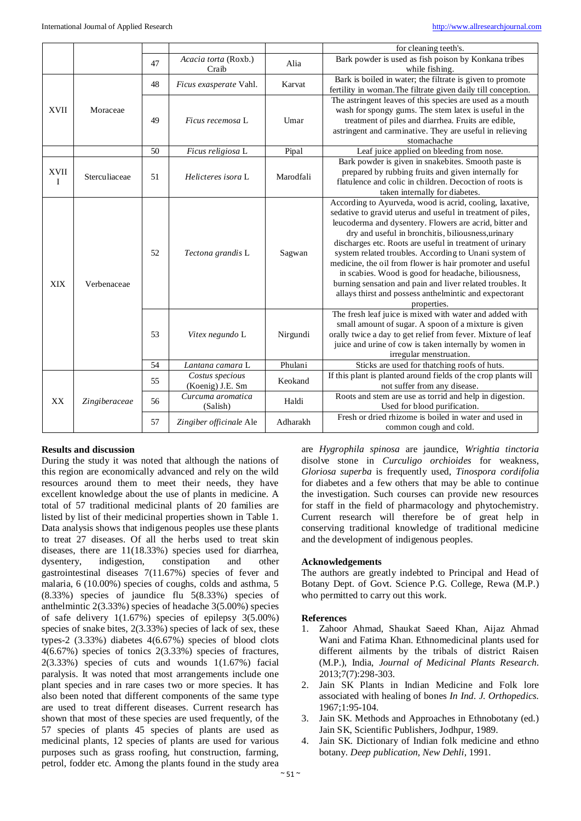|             |               |    |                               |           | for cleaning teeth's.                                          |
|-------------|---------------|----|-------------------------------|-----------|----------------------------------------------------------------|
|             |               | 47 | Acacia torta (Roxb.)          | Alia      | Bark powder is used as fish poison by Konkana tribes           |
|             |               |    | Craib                         |           | while fishing.                                                 |
|             |               | 48 | Ficus exasperate Vahl.        | Karvat    | Bark is boiled in water; the filtrate is given to promote      |
|             |               |    |                               |           | fertility in woman. The filtrate given daily till conception.  |
|             |               |    |                               |           | The astringent leaves of this species are used as a mouth      |
| <b>XVII</b> | Moraceae      |    | Ficus recemosa L              | Umar      | wash for spongy gums. The stem latex is useful in the          |
|             |               | 49 |                               |           | treatment of piles and diarrhea. Fruits are edible,            |
|             |               |    |                               |           | astringent and carminative. They are useful in relieving       |
|             |               |    |                               |           | stomachache                                                    |
|             |               | 50 | Ficus religiosa L             | Pipal     | Leaf juice applied on bleeding from nose.                      |
|             |               |    | Helicteres isora L            | Marodfali | Bark powder is given in snakebites. Smooth paste is            |
| XVII        | Sterculiaceae | 51 |                               |           | prepared by rubbing fruits and given internally for            |
| Ι           |               |    |                               |           | flatulence and colic in children. Decoction of roots is        |
|             |               |    |                               |           | taken internally for diabetes.                                 |
|             |               |    | Tectona grandis L             |           | According to Ayurveda, wood is acrid, cooling, laxative,       |
|             |               |    |                               |           | sedative to gravid uterus and useful in treatment of piles,    |
|             | Verbenaceae   |    |                               |           | leucoderma and dysentery. Flowers are acrid, bitter and        |
|             |               | 52 |                               | Sagwan    | dry and useful in bronchitis, biliousness, urinary             |
|             |               |    |                               |           | discharges etc. Roots are useful in treatment of urinary       |
|             |               |    |                               |           | system related troubles. According to Unani system of          |
|             |               |    |                               |           | medicine, the oil from flower is hair promoter and useful      |
|             |               |    |                               |           | in scabies. Wood is good for headache, biliousness,            |
| <b>XIX</b>  |               |    |                               |           | burning sensation and pain and liver related troubles. It      |
|             |               |    |                               |           | allays thirst and possess anthelmintic and expectorant         |
|             |               |    |                               |           | properties.                                                    |
|             |               | 53 | Vitex negundo L               | Nirgundi  | The fresh leaf juice is mixed with water and added with        |
|             |               |    |                               |           | small amount of sugar. A spoon of a mixture is given           |
|             |               |    |                               |           | orally twice a day to get relief from fever. Mixture of leaf   |
|             |               |    |                               |           | juice and urine of cow is taken internally by women in         |
|             |               |    |                               |           | irregular menstruation.                                        |
|             |               | 54 | Lantana camara L              | Phulani   | Sticks are used for thatching roofs of huts.                   |
| XX          | Zingiberaceae | 55 | Costus specious               | Keokand   | If this plant is planted around fields of the crop plants will |
|             |               |    | (Koenig) J.E. Sm              |           | not suffer from any disease.                                   |
|             |               | 56 | Curcuma aromatica<br>(Salish) | Haldi     | Roots and stem are use as torrid and help in digestion.        |
|             |               |    |                               |           | Used for blood purification.                                   |
|             |               |    | 57<br>Zingiber officinale Ale | Adharakh  | Fresh or dried rhizome is boiled in water and used in          |
|             |               |    |                               |           | common cough and cold.                                         |

# **Results and discussion**

During the study it was noted that although the nations of this region are economically advanced and rely on the wild resources around them to meet their needs, they have excellent knowledge about the use of plants in medicine. A total of 57 traditional medicinal plants of 20 families are listed by list of their medicinal properties shown in Table 1. Data analysis shows that indigenous peoples use these plants to treat 27 diseases. Of all the herbs used to treat skin diseases, there are 11(18.33%) species used for diarrhea, dysentery, indigestion, constipation and other gastrointestinal diseases 7(11.67%) species of fever and malaria, 6 (10.00%) species of coughs, colds and asthma, 5 (8.33%) species of jaundice flu 5(8.33%) species of anthelmintic 2(3.33%) species of headache 3(5.00%) species of safe delivery 1(1.67%) species of epilepsy 3(5.00%) species of snake bites, 2(3.33%) species of lack of sex, these types-2 (3.33%) diabetes 4(6.67%) species of blood clots 4(6.67%) species of tonics 2(3.33%) species of fractures, 2(3.33%) species of cuts and wounds 1(1.67%) facial paralysis. It was noted that most arrangements include one plant species and in rare cases two or more species. It has also been noted that different components of the same type are used to treat different diseases. Current research has shown that most of these species are used frequently, of the 57 species of plants 45 species of plants are used as medicinal plants, 12 species of plants are used for various purposes such as grass roofing, hut construction, farming, petrol, fodder etc. Among the plants found in the study area

are *Hygrophila spinosa* are jaundice, *Wrightia tinctoria* disolve stone in *Curculigo orchioides* for weakness, *Gloriosa superba* is frequently used, *Tinospora cordifolia* for diabetes and a few others that may be able to continue the investigation. Such courses can provide new resources for staff in the field of pharmacology and phytochemistry. Current research will therefore be of great help in conserving traditional knowledge of traditional medicine and the development of indigenous peoples.

# **Acknowledgements**

The authors are greatly indebted to Principal and Head of Botany Dept. of Govt. Science P.G. College, Rewa (M.P.) who permitted to carry out this work.

# **References**

- 1. Zahoor Ahmad, Shaukat Saeed Khan, Aijaz Ahmad Wani and Fatima Khan. Ethnomedicinal plants used for different ailments by the tribals of district Raisen (M.P.), India, *Journal of Medicinal Plants Research*. 2013;7(7):298-303.
- 2. Jain SK Plants in Indian Medicine and Folk lore associated with healing of bones *In Ind. J. Orthopedics.* 1967;1:95-104.
- 3. Jain SK. Methods and Approaches in Ethnobotany (ed.) Jain SK, Scientific Publishers, Jodhpur, 1989.
- Jain SK. Dictionary of Indian folk medicine and ethno botany. *Deep publication, New Dehli*, 1991.